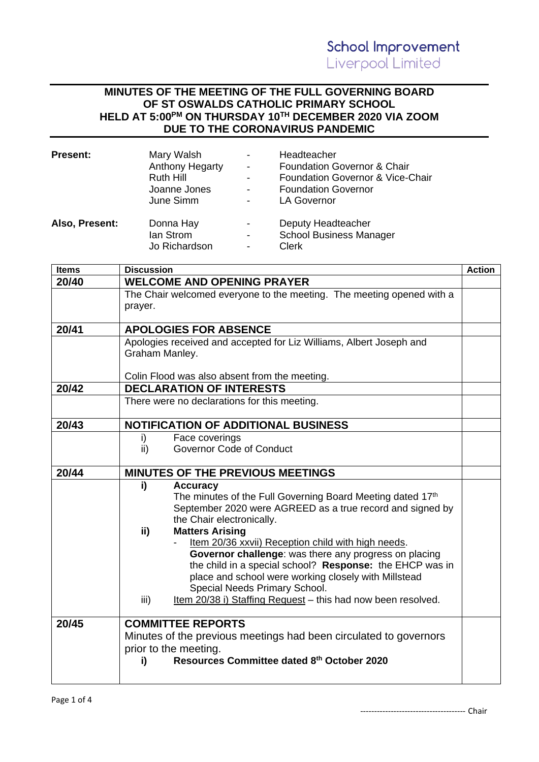## **MINUTES OF THE MEETING OF THE FULL GOVERNING BOARD OF ST OSWALDS CATHOLIC PRIMARY SCHOOL HELD AT 5:00 PM ON THURSDAY 10TH DECEMBER 2020 VIA ZOOM DUE TO THE CORONAVIRUS PANDEMIC**

| Present:       | Mary Walsh<br><b>Anthony Hegarty</b><br>Ruth Hill<br>Joanne Jones<br>June Simm | $\blacksquare$<br>$\overline{\phantom{a}}$ | Headteacher<br><b>Foundation Governor &amp; Chair</b><br>Foundation Governor & Vice-Chair<br><b>Foundation Governor</b><br><b>LA Governor</b> |
|----------------|--------------------------------------------------------------------------------|--------------------------------------------|-----------------------------------------------------------------------------------------------------------------------------------------------|
| Also, Present: | Donna Hay<br>lan Strom<br>Jo Richardson                                        | $\,$                                       | Deputy Headteacher<br><b>School Business Manager</b><br><b>Clerk</b>                                                                          |

| <b>Items</b> | <b>Discussion</b>                                                     | <b>Action</b> |
|--------------|-----------------------------------------------------------------------|---------------|
| 20/40        | <b>WELCOME AND OPENING PRAYER</b>                                     |               |
|              | The Chair welcomed everyone to the meeting. The meeting opened with a |               |
|              | prayer.                                                               |               |
|              |                                                                       |               |
| 20/41        | <b>APOLOGIES FOR ABSENCE</b>                                          |               |
|              | Apologies received and accepted for Liz Williams, Albert Joseph and   |               |
|              | Graham Manley.                                                        |               |
|              |                                                                       |               |
|              | Colin Flood was also absent from the meeting.                         |               |
| 20/42        | <b>DECLARATION OF INTERESTS</b>                                       |               |
|              | There were no declarations for this meeting.                          |               |
| 20/43        | <b>NOTIFICATION OF ADDITIONAL BUSINESS</b>                            |               |
|              | Face coverings<br>i)                                                  |               |
|              | <b>Governor Code of Conduct</b><br>ii)                                |               |
| 20/44        | <b>MINUTES OF THE PREVIOUS MEETINGS</b>                               |               |
|              | i)<br><b>Accuracy</b>                                                 |               |
|              | The minutes of the Full Governing Board Meeting dated 17th            |               |
|              | September 2020 were AGREED as a true record and signed by             |               |
|              | the Chair electronically.                                             |               |
|              | <b>Matters Arising</b><br>ii)                                         |               |
|              | Item 20/36 xxvii) Reception child with high needs.                    |               |
|              | Governor challenge: was there any progress on placing                 |               |
|              | the child in a special school? Response: the EHCP was in              |               |
|              | place and school were working closely with Millstead                  |               |
|              | Special Needs Primary School.                                         |               |
|              | iii)<br>Item 20/38 i) Staffing Request - this had now been resolved.  |               |
| 20/45        | <b>COMMITTEE REPORTS</b>                                              |               |
|              | Minutes of the previous meetings had been circulated to governors     |               |
|              | prior to the meeting.                                                 |               |
|              | Resources Committee dated 8th October 2020<br>i)                      |               |
|              |                                                                       |               |
|              |                                                                       |               |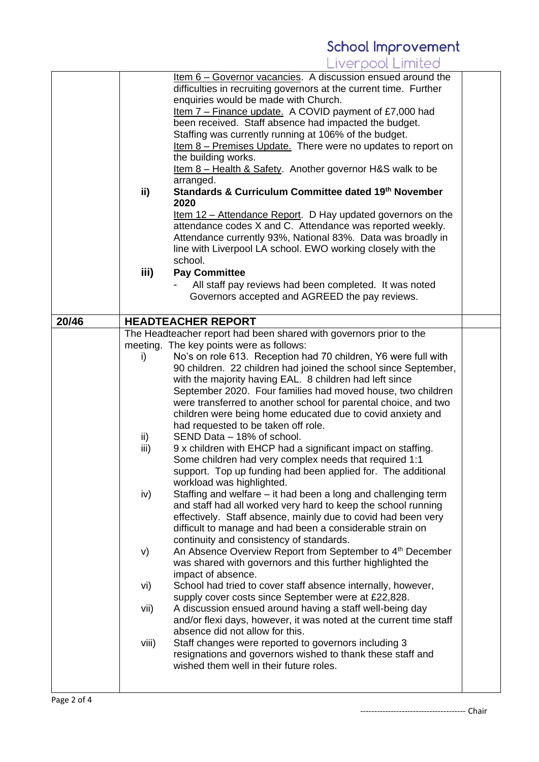## **School Improvement**<br>Liverpool Limited

|                                                       |       | Item 6 - Governor vacancies. A discussion ensued around the                |  |
|-------------------------------------------------------|-------|----------------------------------------------------------------------------|--|
|                                                       |       | difficulties in recruiting governors at the current time. Further          |  |
|                                                       |       | enquiries would be made with Church.                                       |  |
|                                                       |       | <u>Item <math>7</math> – Finance update.</u> A COVID payment of £7,000 had |  |
|                                                       |       | been received. Staff absence had impacted the budget.                      |  |
|                                                       |       | Staffing was currently running at 106% of the budget.                      |  |
|                                                       |       | Item 8 - Premises Update. There were no updates to report on               |  |
|                                                       |       | the building works.                                                        |  |
|                                                       |       | Item 8 - Health & Safety. Another governor H&S walk to be                  |  |
|                                                       |       | arranged.                                                                  |  |
|                                                       | ii)   | Standards & Curriculum Committee dated 19th November                       |  |
|                                                       |       | 2020                                                                       |  |
|                                                       |       | <u>Item 12 – Attendance Report</u> . D Hay updated governors on the        |  |
|                                                       |       | attendance codes X and C. Attendance was reported weekly.                  |  |
|                                                       |       | Attendance currently 93%, National 83%. Data was broadly in                |  |
|                                                       |       | line with Liverpool LA school. EWO working closely with the                |  |
|                                                       |       | school.                                                                    |  |
|                                                       | iii)  | <b>Pay Committee</b>                                                       |  |
|                                                       |       | All staff pay reviews had been completed. It was noted                     |  |
|                                                       |       | Governors accepted and AGREED the pay reviews.                             |  |
|                                                       |       |                                                                            |  |
| 20/46                                                 |       | <b>HEADTEACHER REPORT</b>                                                  |  |
|                                                       |       | The Headteacher report had been shared with governors prior to the         |  |
|                                                       |       | meeting. The key points were as follows:                                   |  |
|                                                       | i)    | No's on role 613. Reception had 70 children, Y6 were full with             |  |
|                                                       |       | 90 children. 22 children had joined the school since September,            |  |
|                                                       |       | with the majority having EAL. 8 children had left since                    |  |
|                                                       |       | September 2020. Four families had moved house, two children                |  |
|                                                       |       | were transferred to another school for parental choice, and two            |  |
|                                                       |       | children were being home educated due to covid anxiety and                 |  |
|                                                       |       | had requested to be taken off role.                                        |  |
|                                                       | ii)   | SEND Data - 18% of school.                                                 |  |
|                                                       | iii)  | 9 x children with EHCP had a significant impact on staffing.               |  |
|                                                       |       | Some children had very complex needs that required 1:1                     |  |
|                                                       |       | support. Top up funding had been applied for. The additional               |  |
|                                                       |       | workload was highlighted.                                                  |  |
|                                                       | iv)   | Staffing and welfare – it had been a long and challenging term             |  |
|                                                       |       | and staff had all worked very hard to keep the school running              |  |
|                                                       |       | effectively. Staff absence, mainly due to covid had been very              |  |
|                                                       |       | difficult to manage and had been a considerable strain on                  |  |
|                                                       |       | continuity and consistency of standards.                                   |  |
|                                                       | V)    | An Absence Overview Report from September to 4 <sup>th</sup> December      |  |
|                                                       |       | was shared with governors and this further highlighted the                 |  |
|                                                       |       | impact of absence.                                                         |  |
|                                                       | vi)   | School had tried to cover staff absence internally, however,               |  |
|                                                       |       | supply cover costs since September were at £22,828.                        |  |
|                                                       | vii)  | A discussion ensued around having a staff well-being day                   |  |
|                                                       |       | and/or flexi days, however, it was noted at the current time staff         |  |
|                                                       |       | absence did not allow for this.                                            |  |
|                                                       | viii) | Staff changes were reported to governors including 3                       |  |
|                                                       |       | resignations and governors wished to thank these staff and                 |  |
|                                                       |       | wished them well in their future roles.                                    |  |
|                                                       |       |                                                                            |  |
|                                                       |       |                                                                            |  |
| $D \cap \cap \cap \cap \cap \cap \cap \cap \cap \cap$ |       |                                                                            |  |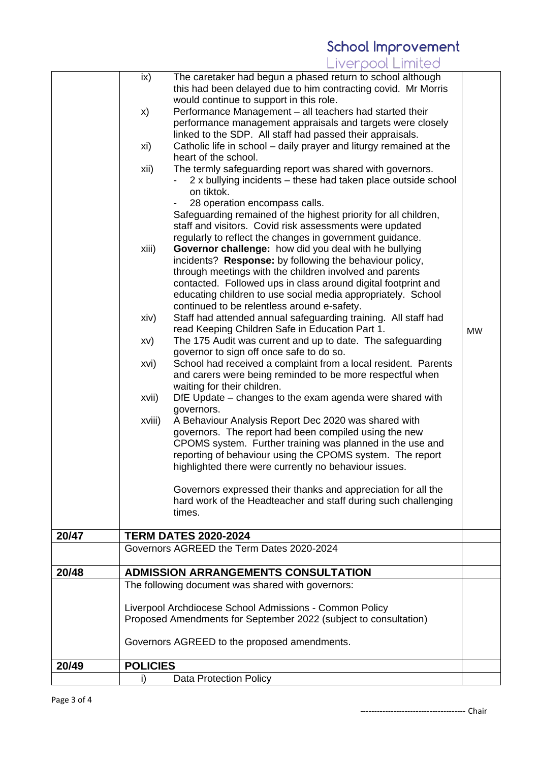## **School Improvement**<br>Liverpool Limited

|       | ix)             | The caretaker had begun a phased return to school although         |           |
|-------|-----------------|--------------------------------------------------------------------|-----------|
|       |                 | this had been delayed due to him contracting covid. Mr Morris      |           |
|       |                 | would continue to support in this role.                            |           |
|       | X)              | Performance Management – all teachers had started their            |           |
|       |                 | performance management appraisals and targets were closely         |           |
|       |                 | linked to the SDP. All staff had passed their appraisals.          |           |
|       | xi)             | Catholic life in school – daily prayer and liturgy remained at the |           |
|       |                 | heart of the school.                                               |           |
|       | xii)            | The termly safeguarding report was shared with governors.          |           |
|       |                 | 2 x bullying incidents – these had taken place outside school      |           |
|       |                 | on tiktok.                                                         |           |
|       |                 | 28 operation encompass calls.                                      |           |
|       |                 | Safeguarding remained of the highest priority for all children,    |           |
|       |                 | staff and visitors. Covid risk assessments were updated            |           |
|       |                 | regularly to reflect the changes in government guidance.           |           |
|       | xiii)           | Governor challenge: how did you deal with he bullying              |           |
|       |                 | incidents? Response: by following the behaviour policy,            |           |
|       |                 | through meetings with the children involved and parents            |           |
|       |                 | contacted. Followed ups in class around digital footprint and      |           |
|       |                 | educating children to use social media appropriately. School       |           |
|       |                 | continued to be relentless around e-safety.                        |           |
|       | xiv)            | Staff had attended annual safeguarding training. All staff had     |           |
|       |                 | read Keeping Children Safe in Education Part 1.                    | <b>MW</b> |
|       | XV)             | The 175 Audit was current and up to date. The safeguarding         |           |
|       |                 | governor to sign off once safe to do so.                           |           |
|       | xvi)            | School had received a complaint from a local resident. Parents     |           |
|       |                 | and carers were being reminded to be more respectful when          |           |
|       |                 | waiting for their children.                                        |           |
|       | xvii)           | DfE Update – changes to the exam agenda were shared with           |           |
|       |                 | governors.                                                         |           |
|       | xviii)          | A Behaviour Analysis Report Dec 2020 was shared with               |           |
|       |                 | governors. The report had been compiled using the new              |           |
|       |                 | CPOMS system. Further training was planned in the use and          |           |
|       |                 | reporting of behaviour using the CPOMS system. The report          |           |
|       |                 | highlighted there were currently no behaviour issues.              |           |
|       |                 | Governors expressed their thanks and appreciation for all the      |           |
|       |                 | hard work of the Headteacher and staff during such challenging     |           |
|       |                 | times.                                                             |           |
|       |                 |                                                                    |           |
| 20/47 |                 | <b>TERM DATES 2020-2024</b>                                        |           |
|       |                 | Governors AGREED the Term Dates 2020-2024                          |           |
|       |                 |                                                                    |           |
| 20/48 |                 | <b>ADMISSION ARRANGEMENTS CONSULTATION</b>                         |           |
|       |                 | The following document was shared with governors:                  |           |
|       |                 |                                                                    |           |
|       |                 | Liverpool Archdiocese School Admissions - Common Policy            |           |
|       |                 | Proposed Amendments for September 2022 (subject to consultation)   |           |
|       |                 |                                                                    |           |
|       |                 | Governors AGREED to the proposed amendments.                       |           |
|       |                 |                                                                    |           |
| 20/49 | <b>POLICIES</b> |                                                                    |           |
|       | i)              | <b>Data Protection Policy</b>                                      |           |